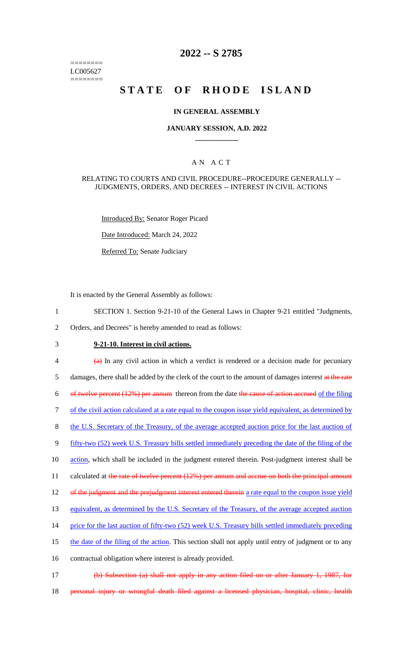======== LC005627 ========

# **2022 -- S 2785**

# **STATE OF RHODE ISLAND**

#### **IN GENERAL ASSEMBLY**

### **JANUARY SESSION, A.D. 2022 \_\_\_\_\_\_\_\_\_\_\_\_**

### A N A C T

#### RELATING TO COURTS AND CIVIL PROCEDURE--PROCEDURE GENERALLY -- JUDGMENTS, ORDERS, AND DECREES -- INTEREST IN CIVIL ACTIONS

Introduced By: Senator Roger Picard

Date Introduced: March 24, 2022

Referred To: Senate Judiciary

It is enacted by the General Assembly as follows:

- 1 SECTION 1. Section 9-21-10 of the General Laws in Chapter 9-21 entitled "Judgments,
- 2 Orders, and Decrees" is hereby amended to read as follows:
- 

# 3 **9-21-10. Interest in civil actions.**

 $\frac{4}{9}$  In any civil action in which a verdict is rendered or a decision made for pecuniary 5 damages, there shall be added by the clerk of the court to the amount of damages interest at the rate 6 of twelve percent (12%) per annum thereon from the date the cause of action accrued of the filing 7 of the civil action calculated at a rate equal to the coupon issue yield equivalent, as determined by 8 the U.S. Secretary of the Treasury, of the average accepted auction price for the last auction of 9 fifty-two (52) week U.S. Treasury bills settled immediately preceding the date of the filing of the

10 action, which shall be included in the judgment entered therein. Post-judgment interest shall be

11 calculated at the rate of twelve percent (12%) per annum and accrue on both the principal amount

12 of the judgment and the prejudgment interest entered therein a rate equal to the coupon issue yield

13 equivalent, as determined by the U.S. Secretary of the Treasury, of the average accepted auction

14 price for the last auction of fifty-two (52) week U.S. Treasury bills settled immediately preceding

15 the date of the filing of the action. This section shall not apply until entry of judgment or to any

16 contractual obligation where interest is already provided.

- 17 (b) Subsection (a) shall not apply in any action filed on or after January 1, 1987, for
- 18 personal injury or wrongful death filed against a licensed physician, hospital, clinic, health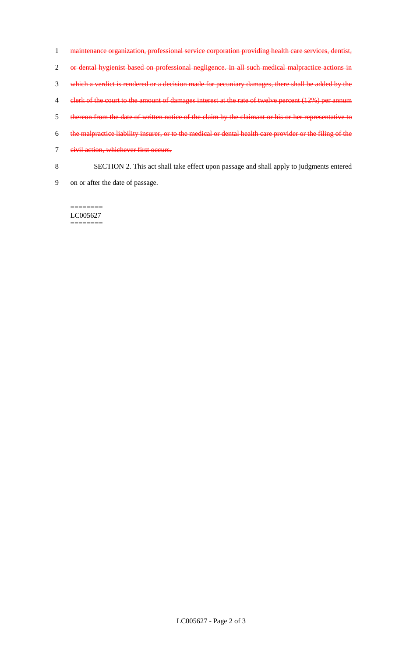- 1 maintenance organization, professional service corporation providing health care services, dentist, 2 or dental hygienist based on professional negligence. In all such medical malpractice actions in 3 which a verdict is rendered or a decision made for pecuniary damages, there shall be added by the 4 clerk of the court to the amount of damages interest at the rate of twelve percent (12%) per annum 5 thereon from the date of written notice of the claim by the claimant or his or her representative to 6 the malpractice liability insurer, or to the medical or dental health care provider or the filing of the 7 eivil action, whichever first occurs. 8 SECTION 2. This act shall take effect upon passage and shall apply to judgments entered
- 9 on or after the date of passage.

LC005627 ========

========